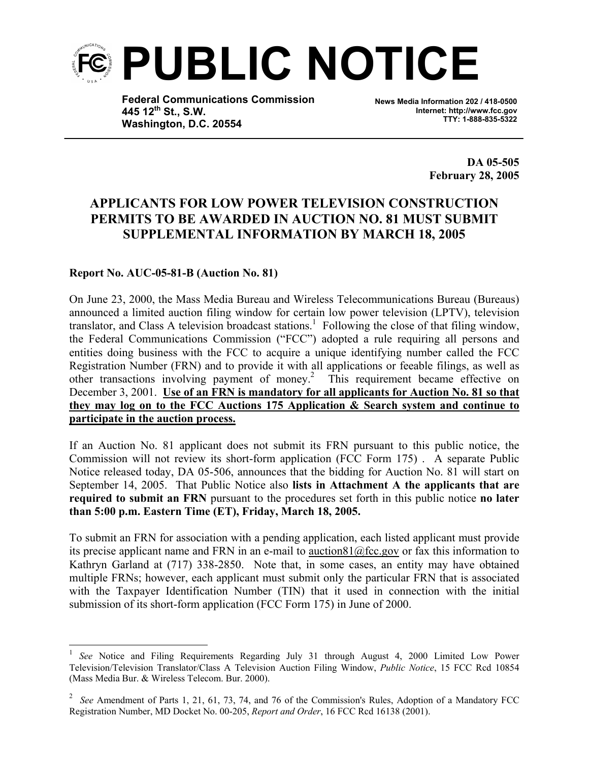

**Federal Communications Commission 445 12th St., S.W. Washington, D.C. 20554**

**News Media Information 202 / 418-0500 Internet: http://www.fcc.gov TTY: 1-888-835-5322**

> **DA 05-505 February 28, 2005**

## **APPLICANTS FOR LOW POWER TELEVISION CONSTRUCTION PERMITS TO BE AWARDED IN AUCTION NO. 81 MUST SUBMIT SUPPLEMENTAL INFORMATION BY MARCH 18, 2005**

## **Report No. AUC-05-81-B (Auction No. 81)**

 $\overline{\phantom{a}}$ 

On June 23, 2000, the Mass Media Bureau and Wireless Telecommunications Bureau (Bureaus) announced a limited auction filing window for certain low power television (LPTV), television translator, and Class A television broadcast stations.<sup>1</sup> Following the close of that filing window, the Federal Communications Commission ("FCC") adopted a rule requiring all persons and entities doing business with the FCC to acquire a unique identifying number called the FCC Registration Number (FRN) and to provide it with all applications or feeable filings, as well as other transactions involving payment of money.<sup>2</sup> This requirement became effective on December 3, 2001. **Use of an FRN is mandatory for all applicants for Auction No. 81 so that they may log on to the FCC Auctions 175 Application & Search system and continue to participate in the auction process.**

If an Auction No. 81 applicant does not submit its FRN pursuant to this public notice, the Commission will not review its short-form application (FCC Form 175) . A separate Public Notice released today, DA 05-506, announces that the bidding for Auction No. 81 will start on September 14, 2005. That Public Notice also **lists in Attachment A the applicants that are required to submit an FRN** pursuant to the procedures set forth in this public notice **no later than 5:00 p.m. Eastern Time (ET), Friday, March 18, 2005.** 

To submit an FRN for association with a pending application, each listed applicant must provide its precise applicant name and FRN in an e-mail to auction81@fcc.gov or fax this information to Kathryn Garland at (717) 338-2850.Note that, in some cases, an entity may have obtained multiple FRNs; however, each applicant must submit only the particular FRN that is associated with the Taxpayer Identification Number (TIN) that it used in connection with the initial submission of its short-form application (FCC Form 175) in June of 2000.

<sup>&</sup>lt;sup>1</sup> *See* Notice and Filing Requirements Regarding July 31 through August 4, 2000 Limited Low Power Television/Television Translator/Class A Television Auction Filing Window, *Public Notice*, 15 FCC Rcd 10854 (Mass Media Bur. & Wireless Telecom. Bur. 2000).

<sup>&</sup>lt;sup>2</sup> See Amendment of Parts 1, 21, 61, 73, 74, and 76 of the Commission's Rules, Adoption of a Mandatory FCC Registration Number, MD Docket No. 00-205, *Report and Order*, 16 FCC Rcd 16138 (2001).